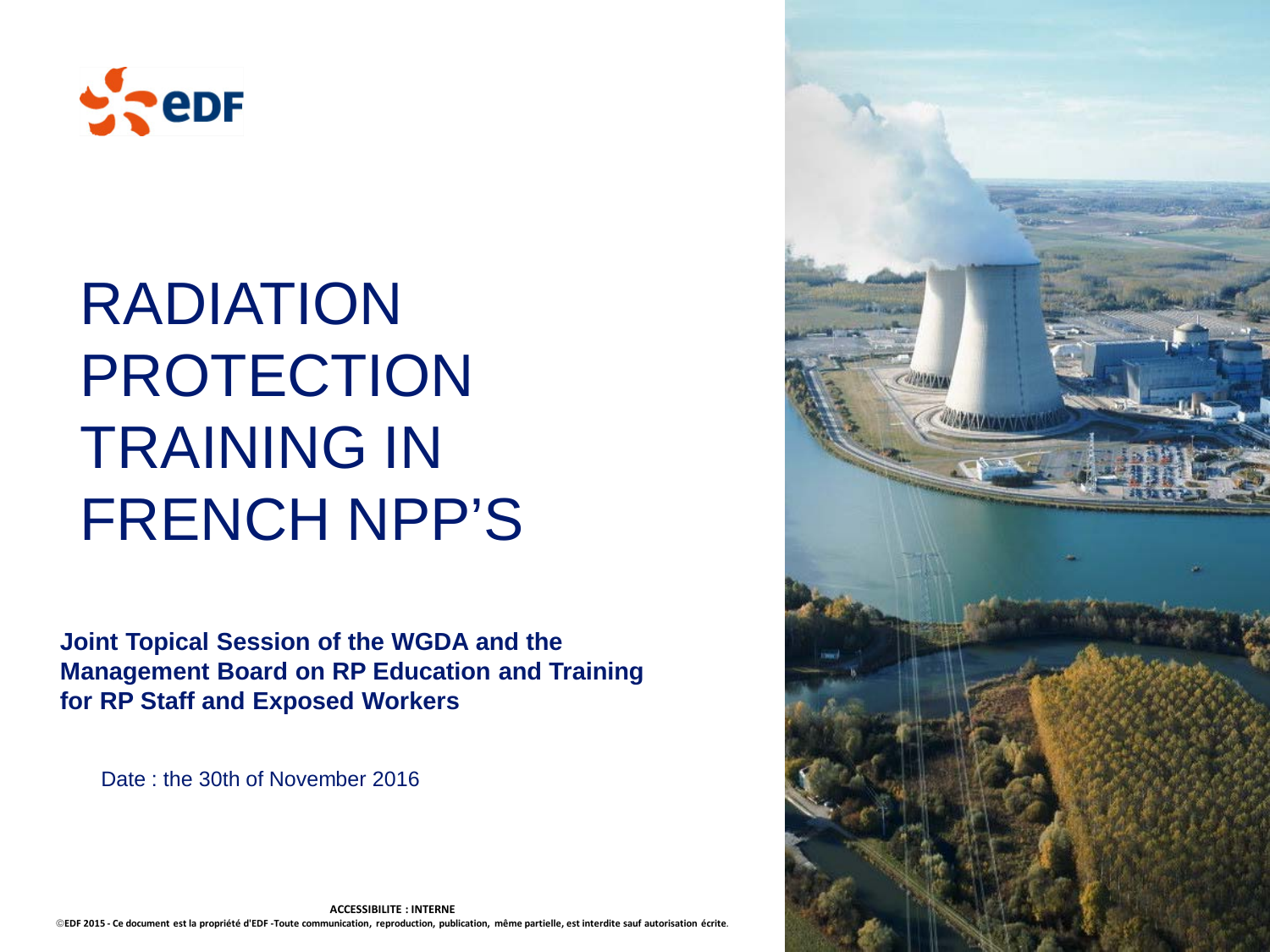

## RADIATION PROTECTION TRAINING IN FRENCH NPP'S

**Joint Topical Session of the WGDA and the Management Board on RP Education and Training for RP Staff and Exposed Workers**

Date : the 30th of November 2016



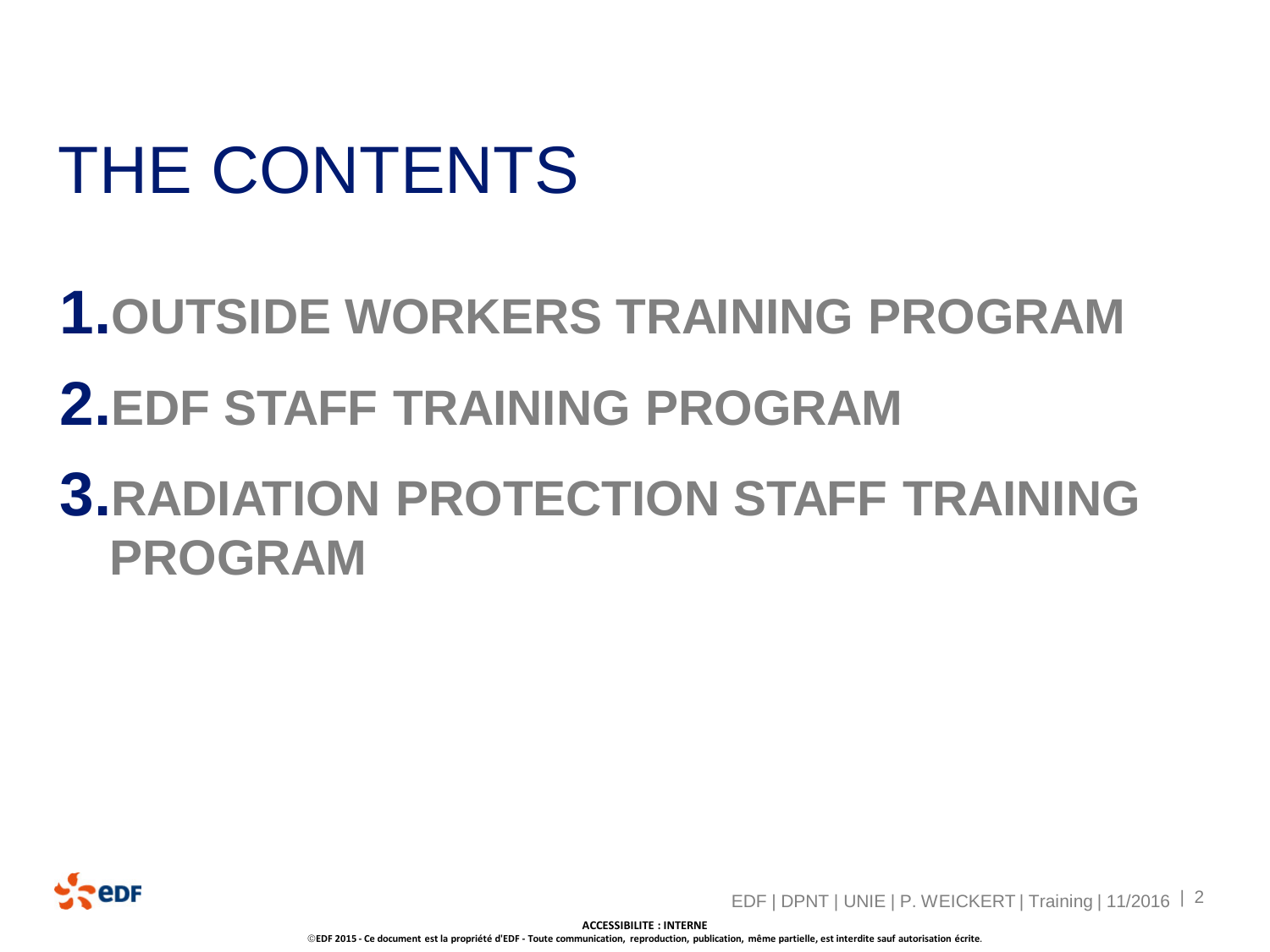# THE CONTENTS

## **1.OUTSIDE WORKERS TRAINING PROGRAM 2.EDF STAFF TRAINING PROGRAM 3.RADIATION PROTECTION STAFF TRAINING PROGRAM**



EDF | DPNT | UNIE | P. WEICKERT | Training | 11/2016 | 2

**ACCESSIBILITE : INTERNE**

**EDF 2015 - Ce document est la propriété d'EDF - Toute communication, reproduction, publication, même partielle, est interdite sauf autorisation écrite***.*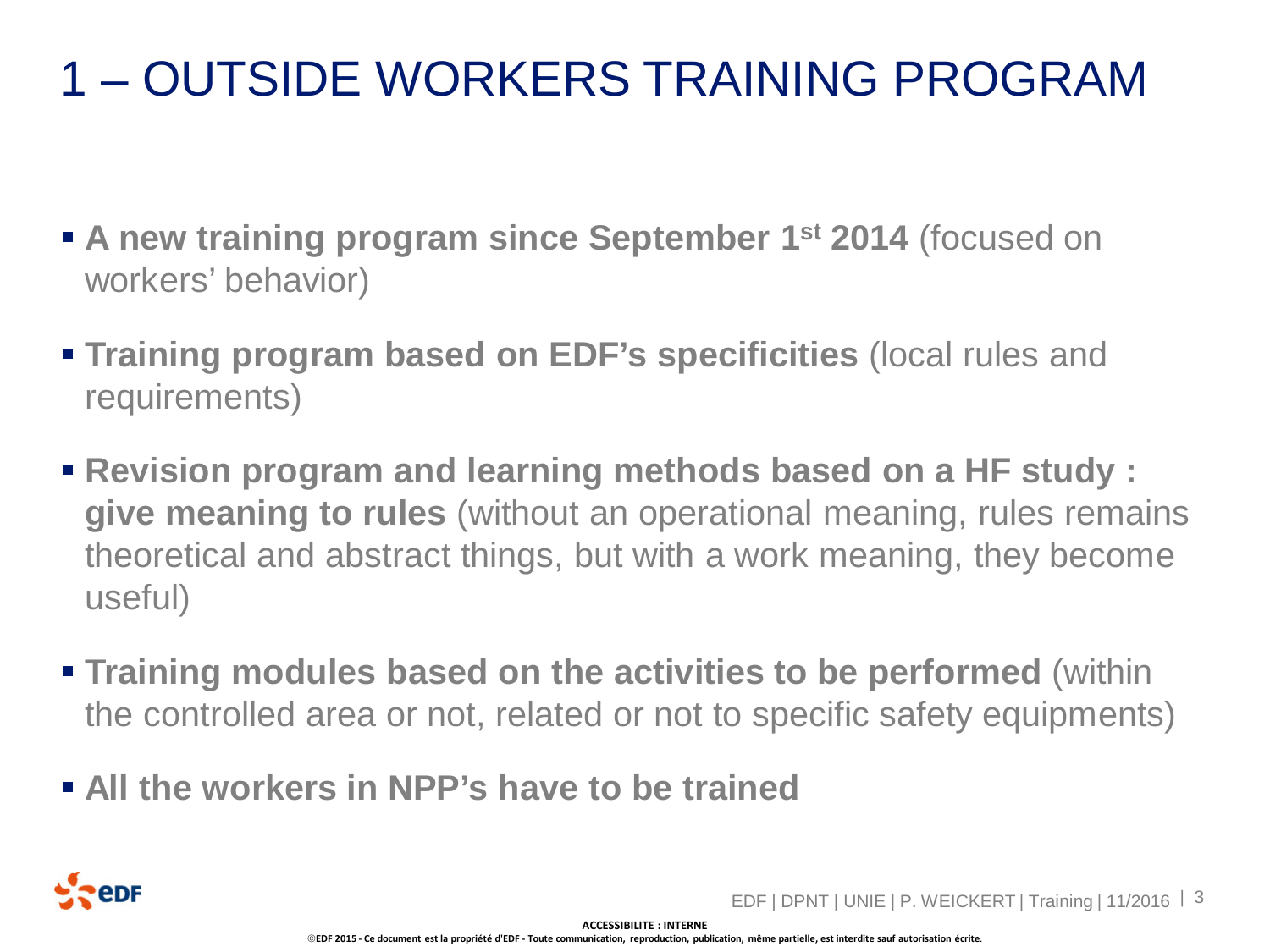- **A new training program since September 1st 2014** (focused on workers' behavior)
- **Training program based on EDF's specificities** (local rules and requirements)
- **Revision program and learning methods based on a HF study : give meaning to rules** (without an operational meaning, rules remains theoretical and abstract things, but with a work meaning, they become useful)
- **Training modules based on the activities to be performed** (within the controlled area or not, related or not to specific safety equipments)
- **All the workers in NPP's have to be trained**

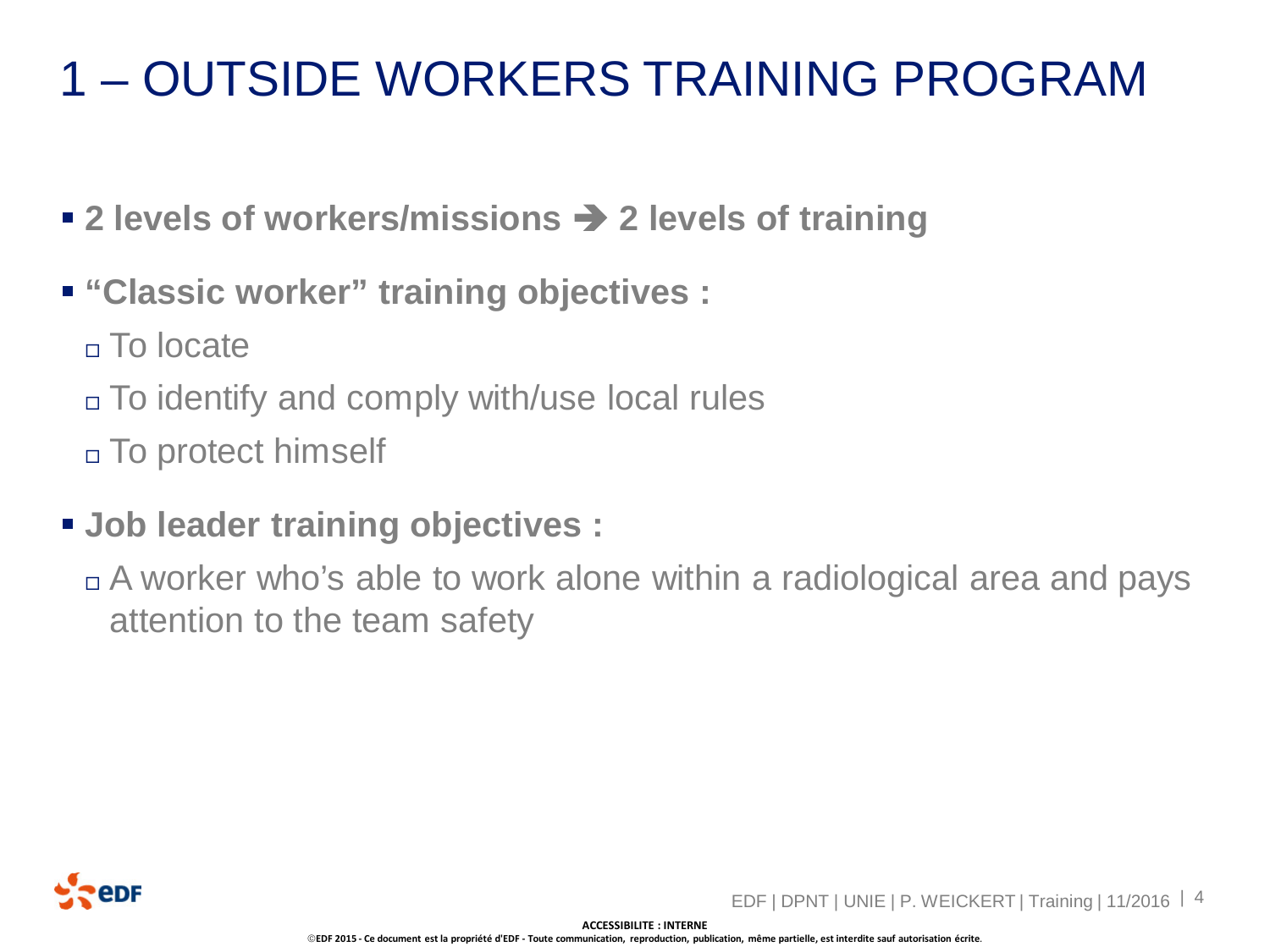- 2 levels of workers/missions → 2 levels of training
- **"Classic worker" training objectives :**
	- To locate
	- To identify and comply with/use local rules
	- To protect himself
- **Job leader training objectives :**
	- A worker who's able to work alone within a radiological area and pays attention to the team safety



**ACCESSIBILITE : INTERNE EDF 2015 - Ce document est la propriété d'EDF - Toute communication, reproduction, publication, même partielle, est interdite sauf autorisation écrite***.*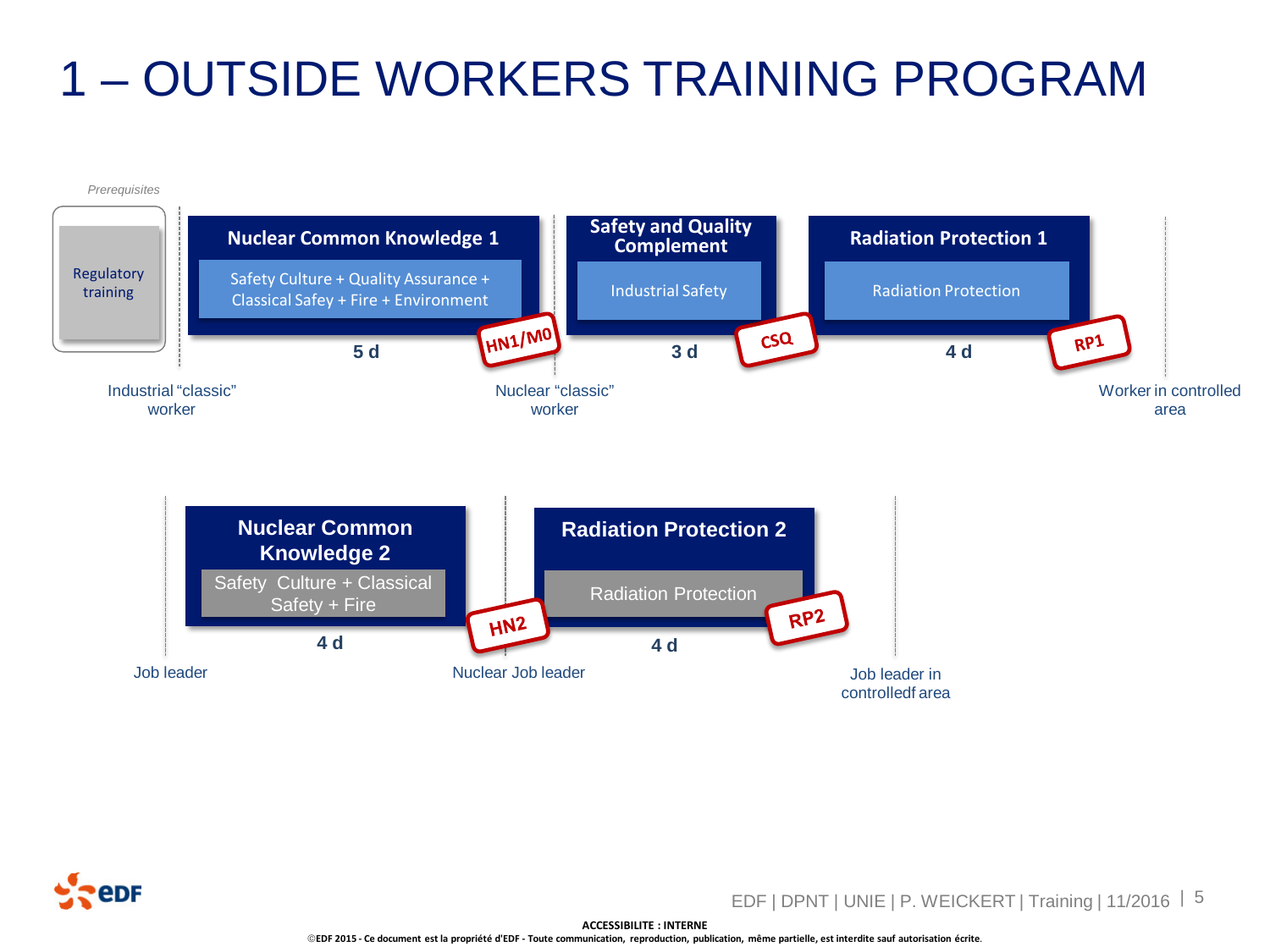



EDF | DPNT | UNIE | P. WEICKERT | Training | 11/2016 | 5

**ACCESSIBILITE : INTERNE**

**EDF 2015 - Ce document est la propriété d'EDF - Toute communication, reproduction, publication, même partielle, est interdite sauf autorisation écrite***.*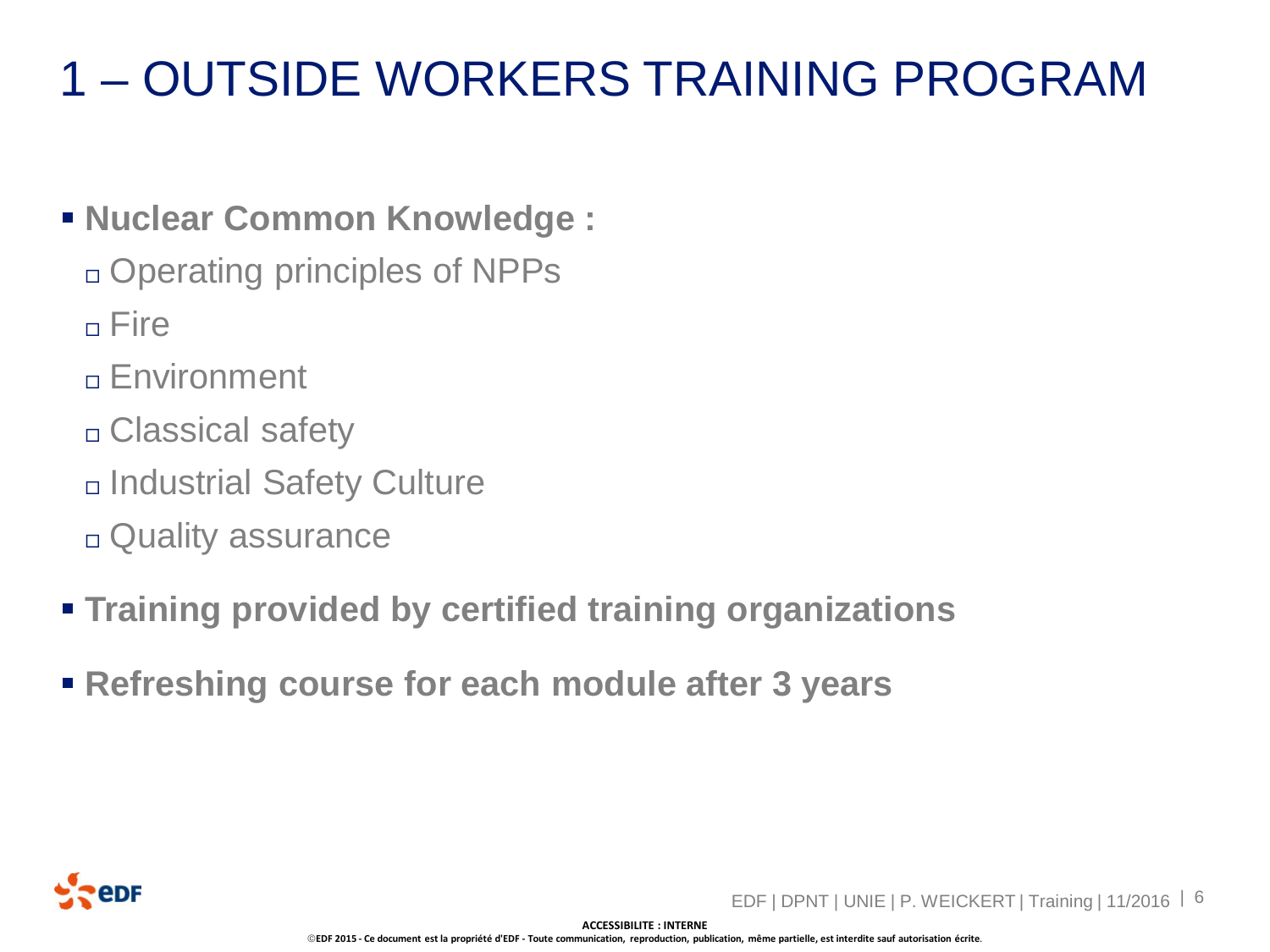#### **Example 2 Nuclear Common Knowledge :**

- Operating principles of NPPs
- $n$  Fire
- Environment
- Classical safety
- Industrial Safety Culture
- Quality assurance
- **Training provided by certified training organizations**
- **Refreshing course for each module after 3 years**

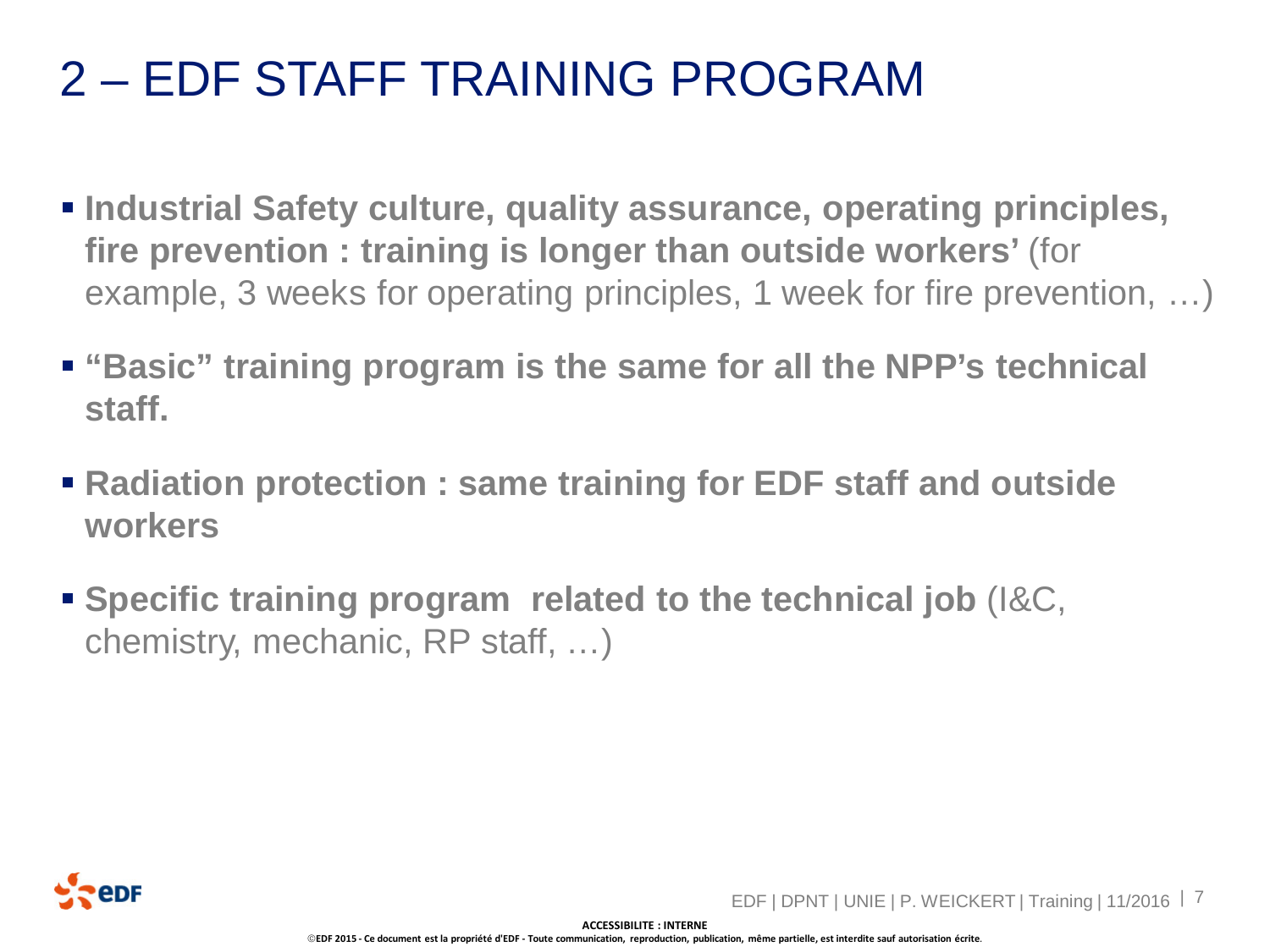#### 2 – EDF STAFF TRAINING PROGRAM

- **Industrial Safety culture, quality assurance, operating principles, fire prevention : training is longer than outside workers'** (for example, 3 weeks for operating principles, 1 week for fire prevention, …)
- **"Basic" training program is the same for all the NPP's technical staff.**
- **Radiation protection : same training for EDF staff and outside workers**
- **Specific training program related to the technical job** (I&C, chemistry, mechanic, RP staff, …)

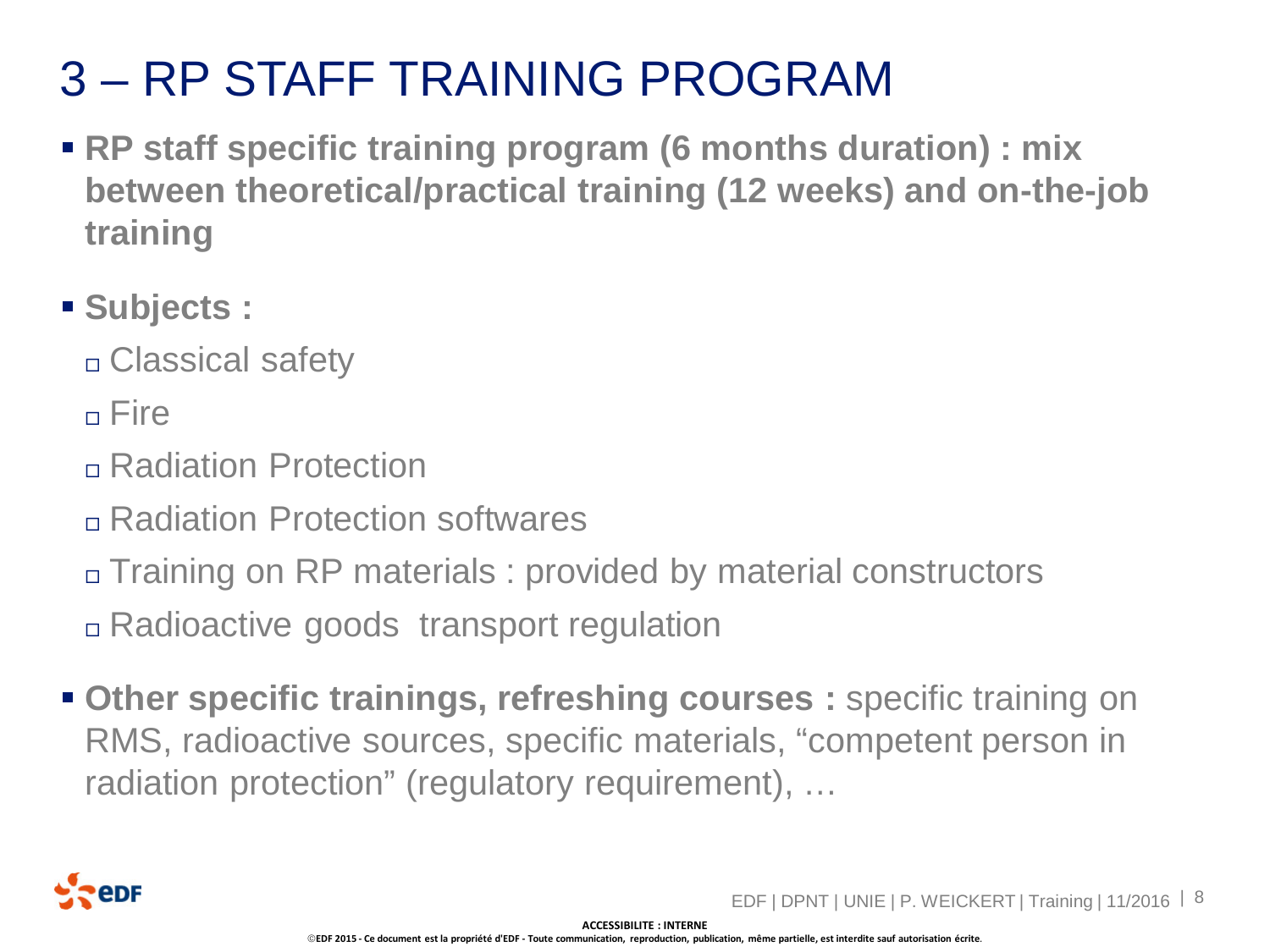### 3 – RP STAFF TRAINING PROGRAM

- **RP staff specific training program (6 months duration) : mix between theoretical/practical training (12 weeks) and on-the-job training**
- **Subjects :**
	- □ Classical safety
	- n Fire
	- Radiation Protection
	- Radiation Protection softwares
	- Training on RP materials : provided by material constructors
	- Radioactive goods transport regulation
- **Other specific trainings, refreshing courses :** specific training on RMS, radioactive sources, specific materials, "competent person in radiation protection" (regulatory requirement), …